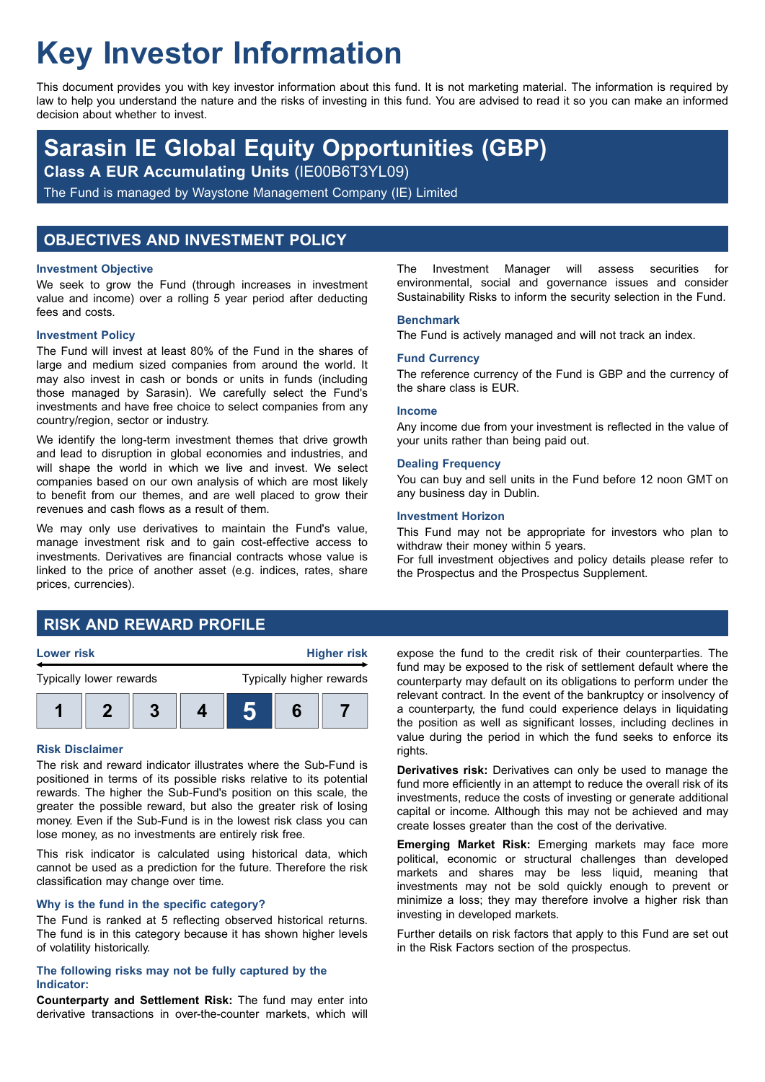# **Key Investor Information**

This document provides you with key investor information about this fund. It is not marketing material. The information is required by law to help you understand the nature and the risks of investing in this fund. You are advised to read it so you can make an informed decision about whether to invest.

## **Sarasin IE Global Equity Opportunities (GBP)**

**Class A EUR Accumulating Units** (IE00B6T3YL09)

The Fund is managed by Waystone Management Company (IE) Limited

## **OBJECTIVES AND INVESTMENT POLICY**

#### **Investment Objective**

We seek to grow the Fund (through increases in investment value and income) over a rolling 5 year period after deducting fees and costs.

#### **Investment Policy**

The Fund will invest at least 80% of the Fund in the shares of large and medium sized companies from around the world. It may also invest in cash or bonds or units in funds (including those managed by Sarasin). We carefully select the Fund's investments and have free choice to select companies from any country/region, sector or industry.

We identify the long-term investment themes that drive growth and lead to disruption in global economies and industries, and will shape the world in which we live and invest. We select companies based on our own analysis of which are most likely to benefit from our themes, and are well placed to grow their revenues and cash flows as a result of them.

We may only use derivatives to maintain the Fund's value, manage investment risk and to gain cost-effective access to investments. Derivatives are financial contracts whose value is linked to the price of another asset (e.g. indices, rates, share prices, currencies).

The Investment Manager will assess securities for environmental, social and governance issues and consider Sustainability Risks to inform the security selection in the Fund.

#### **Benchmark**

The Fund is actively managed and will not track an index.

#### **Fund Currency**

The reference currency of the Fund is GBP and the currency of the share class is EUR.

#### **Income**

Any income due from your investment is reflected in the value of your units rather than being paid out.

#### **Dealing Frequency**

You can buy and sell units in the Fund before 12 noon GMT on any business day in Dublin.

#### **Investment Horizon**

This Fund may not be appropriate for investors who plan to withdraw their money within 5 years.

For full investment objectives and policy details please refer to the Prospectus and the Prospectus Supplement.

## **RISK AND REWARD PROFILE**



#### **Risk Disclaimer**

The risk and reward indicator illustrates where the Sub-Fund is positioned in terms of its possible risks relative to its potential rewards. The higher the Sub-Fund's position on this scale, the greater the possible reward, but also the greater risk of losing money. Even if the Sub-Fund is in the lowest risk class you can lose money, as no investments are entirely risk free.

This risk indicator is calculated using historical data, which cannot be used as a prediction for the future. Therefore the risk classification may change over time.

#### **Why is the fund in the specific category?**

The Fund is ranked at 5 reflecting observed historical returns. The fund is in this category because it has shown higher levels of volatility historically.

#### **The following risks may not be fully captured by the Indicator:**

**Counterparty and Settlement Risk:** The fund may enter into derivative transactions in over-the-counter markets, which will expose the fund to the credit risk of their counterparties. The fund may be exposed to the risk of settlement default where the counterparty may default on its obligations to perform under the relevant contract. In the event of the bankruptcy or insolvency of a counterparty, the fund could experience delays in liquidating the position as well as significant losses, including declines in value during the period in which the fund seeks to enforce its rights.

**Derivatives risk:** Derivatives can only be used to manage the fund more efficiently in an attempt to reduce the overall risk of its investments, reduce the costs of investing or generate additional capital or income. Although this may not be achieved and may create losses greater than the cost of the derivative.

**Emerging Market Risk:** Emerging markets may face more political, economic or structural challenges than developed markets and shares may be less liquid, meaning that investments may not be sold quickly enough to prevent or minimize a loss; they may therefore involve a higher risk than investing in developed markets.

Further details on risk factors that apply to this Fund are set out in the Risk Factors section of the prospectus.